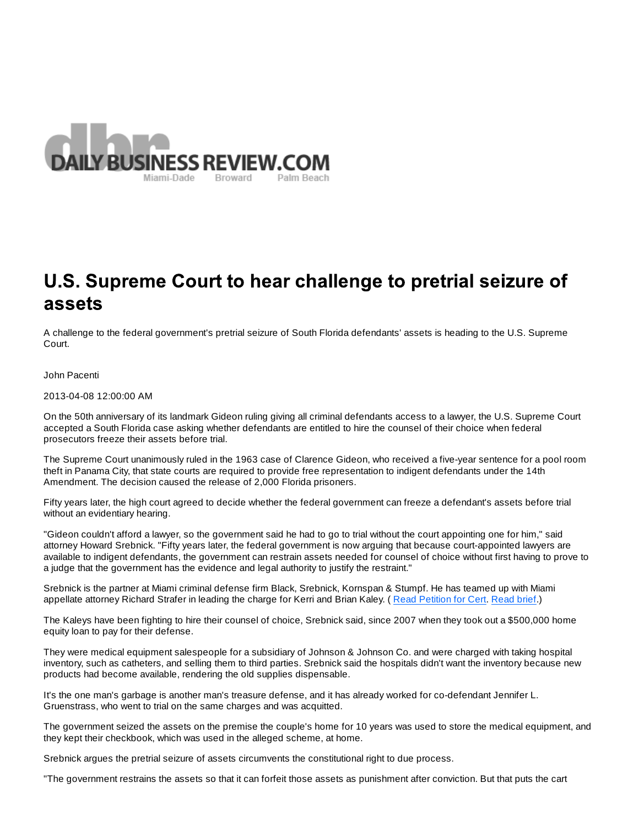

## U.S. Supreme Court to hear challenge to pretrial seizure of assets

A challenge to the federal government's pretrial seizure of South Florida defendants' assets is heading to the U.S. Supreme Court.

John Pacenti

2013-04-08 12:00:00 AM

On the 50th anniversary of its landmark Gideon ruling giving all criminal defendants access to a lawyer, the U.S. Supreme Court accepted a South Florida case asking whether defendants are entitled to hire the counsel of their choice when federal prosecutors freeze their assets before trial.

The Supreme Court unanimously ruled in the 1963 case of Clarence Gideon, who received a five-year sentence for a pool room theft in Panama City, that state courts are required to provide free representation to indigent defendants under the 14th Amendment. The decision caused the release of 2,000 Florida prisoners.

Fifty years later, the high court agreed to decide whether the federal government can freeze a defendant's assets before trial without an evidentiary hearing.

"Gideon couldn't afford a lawyer, so the government said he had to go to trial without the court appointing one for him," said attorney Howard Srebnick. "Fifty years later, the federal government is now arguing that because court-appointed lawyers are available to indigent defendants, the government can restrain assets needed for counsel of choice without first having to prove to a judge that the government has the evidence and legal authority to justify the restraint."

Srebnick is the partner at Miami criminal defense firm Black, Srebnick, Kornspan & Stumpf. He has teamed up with Miami appellate attorney Richard Strafer in leading the charge for Kerri and Brian Kaley. ( Read Petition for Cert. Read brief.)

The Kaleys have been fighting to hire their counsel of choice, Srebnick said, since 2007 when they took out a \$500,000 home equity loan to pay for their defense.

They were medical equipment salespeople for a subsidiary of Johnson & Johnson Co. and were charged with taking hospital inventory, such as catheters, and selling them to third parties. Srebnick said the hospitals didn't want the inventory because new products had become available, rendering the old supplies dispensable.

It's the one man's garbage is another man's treasure defense, and it has already worked for co-defendant Jennifer L. Gruenstrass, who went to trial on the same charges and was acquitted.

The government seized the assets on the premise the couple's home for 10 years was used to store the medical equipment, and they kept their checkbook, which was used in the alleged scheme, at home.

Srebnick argues the pretrial seizure of assets circumvents the constitutional right to due process.

"The government restrains the assets so that it can forfeit those assets as punishment after conviction. But that puts the cart